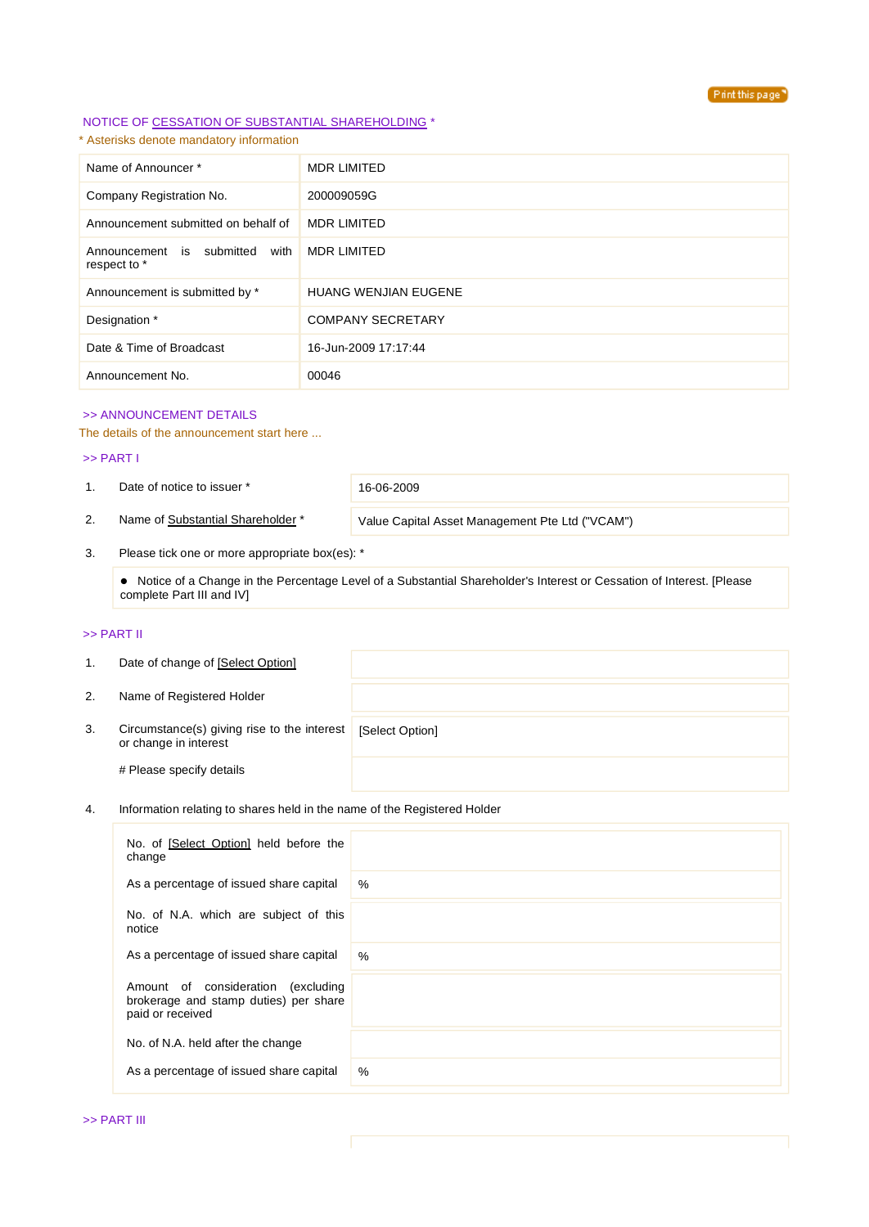

# NOTICE OF CESSATION OF SUBSTANTIAL SHAREHOLDING \*

# \* Asterisks denote mandatory information

| Name of Announcer*                                | <b>MDR LIMITED</b>          |
|---------------------------------------------------|-----------------------------|
| Company Registration No.                          | 200009059G                  |
| Announcement submitted on behalf of               | <b>MDR LIMITED</b>          |
| Announcement is submitted<br>with<br>respect to * | <b>MDR LIMITED</b>          |
| Announcement is submitted by *                    | <b>HUANG WENJIAN EUGENE</b> |
| Designation *                                     | <b>COMPANY SECRETARY</b>    |
| Date & Time of Broadcast                          | 16-Jun-2009 17:17:44        |
| Announcement No.                                  | 00046                       |

# >> ANNOUNCEMENT DETAILS

#### The details of the announcement start here ...

#### >> PART I

1. Date of notice to issuer \* 16-06-2009

2. Name of Substantial Shareholder \* Value Capital Asset Management Pte Ltd ("VCAM")

3. Please tick one or more appropriate box(es): \*

 Notice of a Change in the Percentage Level of a Substantial Shareholder's Interest or Cessation of Interest. [Please complete Part III and IV]

#### >> PART II

| 1. | Date of change of [Select Option]                                    |                 |
|----|----------------------------------------------------------------------|-----------------|
| 2. | Name of Registered Holder                                            |                 |
| 3. | Circumstance(s) giving rise to the interest<br>or change in interest | [Select Option] |
|    | # Please specify details                                             |                 |

# 4. Information relating to shares held in the name of the Registered Holder

| No. of [Select Option] held before the<br>change                                                |      |
|-------------------------------------------------------------------------------------------------|------|
| As a percentage of issued share capital                                                         | $\%$ |
| No. of N.A. which are subject of this<br>notice                                                 |      |
| As a percentage of issued share capital                                                         | $\%$ |
| Amount of consideration (excluding<br>brokerage and stamp duties) per share<br>paid or received |      |
| No. of N.A. held after the change                                                               |      |
| As a percentage of issued share capital                                                         | %    |